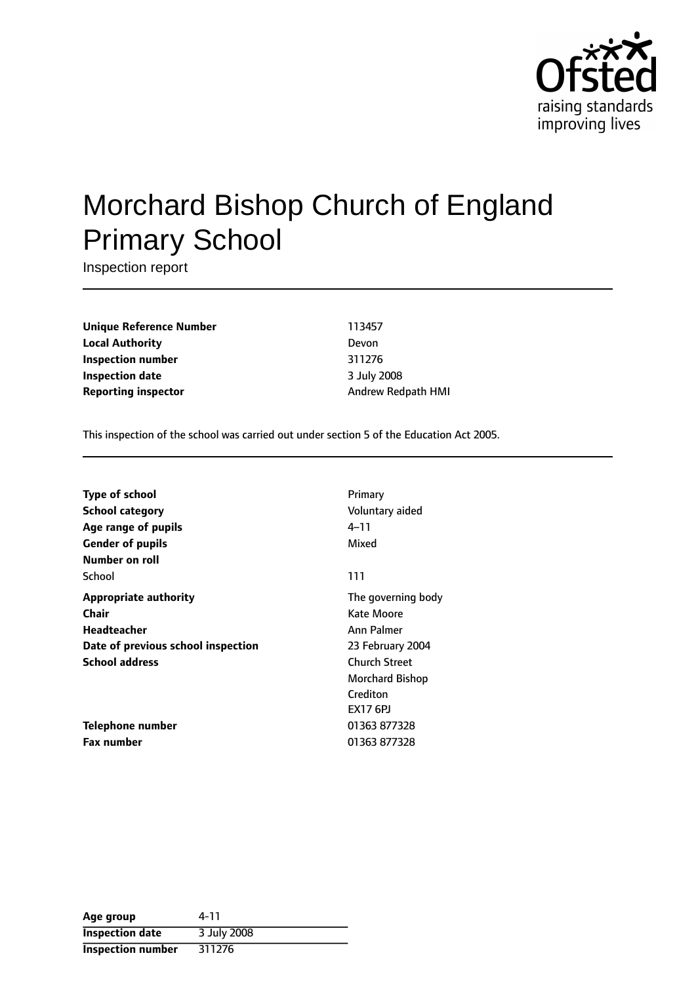

# Morchard Bishop Church of England Primary School

Inspection report

**Unique Reference Number** 113457 **Local Authority** Devon **Inspection number** 311276 **Inspection date** 3 July 2008 **Reporting inspector** Andrew Redpath HMI

This inspection of the school was carried out under section 5 of the Education Act 2005.

| Type of school                     | Primary              |
|------------------------------------|----------------------|
| <b>School category</b>             | Voluntary aided      |
| Age range of pupils                | $4 - 11$             |
| <b>Gender of pupils</b>            | Mixed                |
| Number on roll                     |                      |
| School                             | 111                  |
| <b>Appropriate authority</b>       | The governing body   |
| Chair                              | Kate Moore           |
| <b>Headteacher</b>                 | Ann Palmer           |
| Date of previous school inspection | 23 February 2004     |
| <b>School address</b>              | <b>Church Street</b> |
|                                    | Morchard Bishop      |
|                                    | Crediton             |
|                                    | <b>EX17 6PJ</b>      |
| Telephone number                   | 01363 877328         |
| <b>Fax number</b>                  | 01363 877328         |

| Age group                | 4-11        |
|--------------------------|-------------|
| <b>Inspection date</b>   | 3 July 2008 |
| <b>Inspection number</b> | 311276      |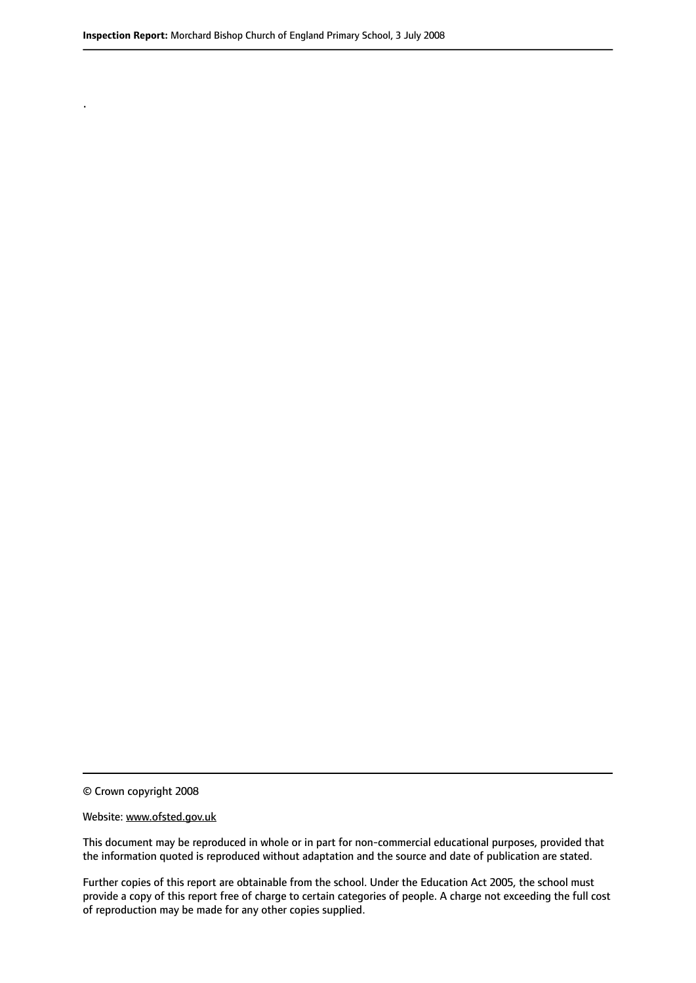.

© Crown copyright 2008

#### Website: www.ofsted.gov.uk

This document may be reproduced in whole or in part for non-commercial educational purposes, provided that the information quoted is reproduced without adaptation and the source and date of publication are stated.

Further copies of this report are obtainable from the school. Under the Education Act 2005, the school must provide a copy of this report free of charge to certain categories of people. A charge not exceeding the full cost of reproduction may be made for any other copies supplied.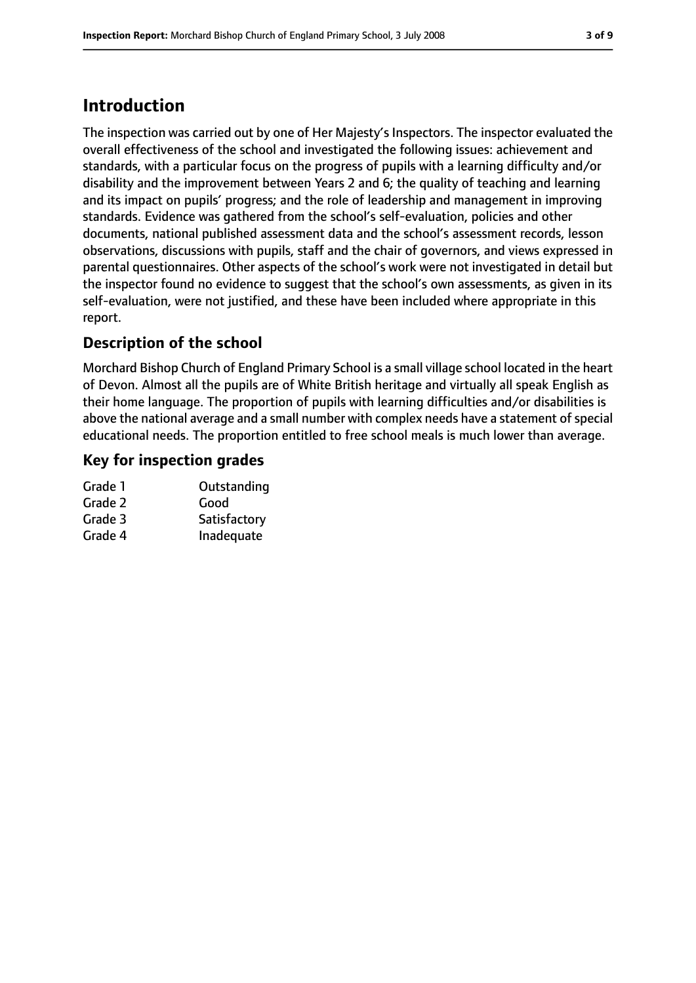# **Introduction**

The inspection was carried out by one of Her Majesty's Inspectors. The inspector evaluated the overall effectiveness of the school and investigated the following issues: achievement and standards, with a particular focus on the progress of pupils with a learning difficulty and/or disability and the improvement between Years 2 and 6; the quality of teaching and learning and its impact on pupils' progress; and the role of leadership and management in improving standards. Evidence was gathered from the school's self-evaluation, policies and other documents, national published assessment data and the school's assessment records, lesson observations, discussions with pupils, staff and the chair of governors, and views expressed in parental questionnaires. Other aspects of the school's work were not investigated in detail but the inspector found no evidence to suggest that the school's own assessments, as given in its self-evaluation, were not justified, and these have been included where appropriate in this report.

## **Description of the school**

Morchard Bishop Church of England Primary School is a small village school located in the heart of Devon. Almost all the pupils are of White British heritage and virtually all speak English as their home language. The proportion of pupils with learning difficulties and/or disabilities is above the national average and a small number with complex needs have a statement of special educational needs. The proportion entitled to free school meals is much lower than average.

#### **Key for inspection grades**

| Outstanding  |
|--------------|
| Good         |
| Satisfactory |
| Inadequate   |
|              |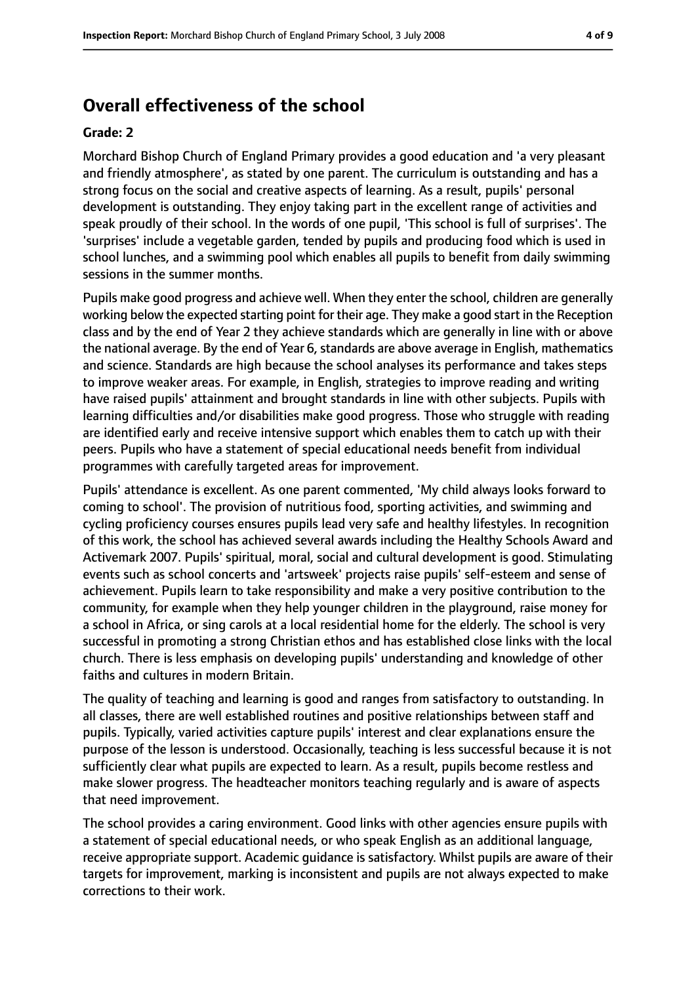# **Overall effectiveness of the school**

#### **Grade: 2**

Morchard Bishop Church of England Primary provides a good education and 'a very pleasant and friendly atmosphere', as stated by one parent. The curriculum is outstanding and has a strong focus on the social and creative aspects of learning. As a result, pupils' personal development is outstanding. They enjoy taking part in the excellent range of activities and speak proudly of their school. In the words of one pupil, 'This school is full of surprises'. The 'surprises' include a vegetable garden, tended by pupils and producing food which is used in school lunches, and a swimming pool which enables all pupils to benefit from daily swimming sessions in the summer months.

Pupils make good progress and achieve well. When they enter the school, children are generally working below the expected starting point for their age. They make a good start in the Reception class and by the end of Year 2 they achieve standards which are generally in line with or above the national average. By the end of Year 6, standards are above average in English, mathematics and science. Standards are high because the school analyses its performance and takes steps to improve weaker areas. For example, in English, strategies to improve reading and writing have raised pupils' attainment and brought standards in line with other subjects. Pupils with learning difficulties and/or disabilities make good progress. Those who struggle with reading are identified early and receive intensive support which enables them to catch up with their peers. Pupils who have a statement of special educational needs benefit from individual programmes with carefully targeted areas for improvement.

Pupils' attendance is excellent. As one parent commented, 'My child always looks forward to coming to school'. The provision of nutritious food, sporting activities, and swimming and cycling proficiency courses ensures pupils lead very safe and healthy lifestyles. In recognition of this work, the school has achieved several awards including the Healthy Schools Award and Activemark 2007. Pupils' spiritual, moral, social and cultural development is good. Stimulating events such as school concerts and 'artsweek' projects raise pupils' self-esteem and sense of achievement. Pupils learn to take responsibility and make a very positive contribution to the community, for example when they help younger children in the playground, raise money for a school in Africa, or sing carols at a local residential home for the elderly. The school is very successful in promoting a strong Christian ethos and has established close links with the local church. There is less emphasis on developing pupils' understanding and knowledge of other faiths and cultures in modern Britain.

The quality of teaching and learning is good and ranges from satisfactory to outstanding. In all classes, there are well established routines and positive relationships between staff and pupils. Typically, varied activities capture pupils' interest and clear explanations ensure the purpose of the lesson is understood. Occasionally, teaching is less successful because it is not sufficiently clear what pupils are expected to learn. As a result, pupils become restless and make slower progress. The headteacher monitors teaching regularly and is aware of aspects that need improvement.

The school provides a caring environment. Good links with other agencies ensure pupils with a statement of special educational needs, or who speak English as an additional language, receive appropriate support. Academic guidance is satisfactory. Whilst pupils are aware of their targets for improvement, marking is inconsistent and pupils are not always expected to make corrections to their work.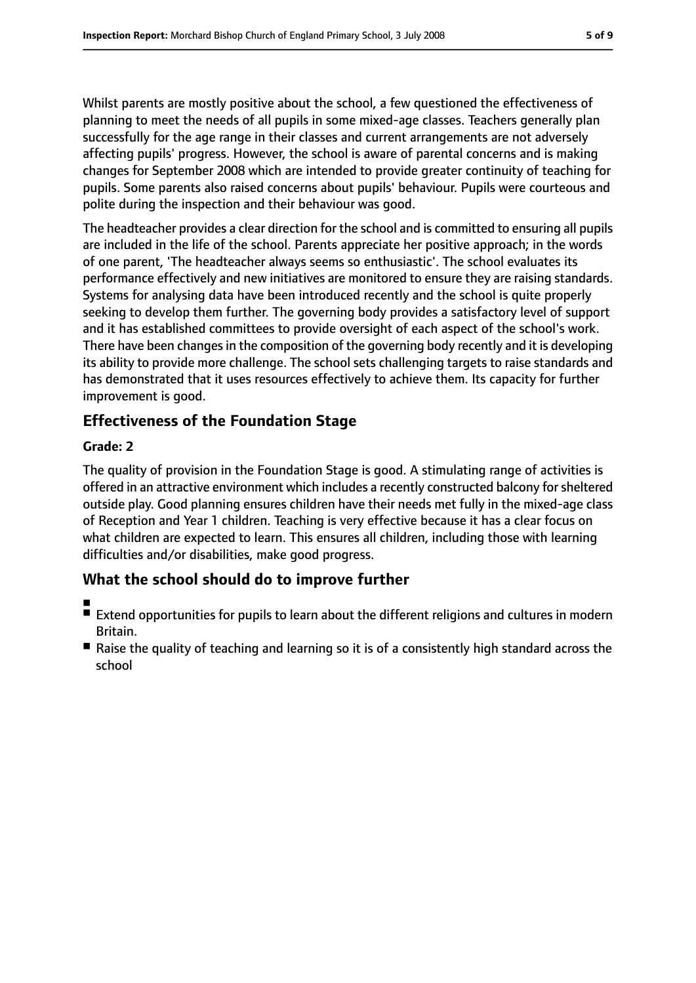Whilst parents are mostly positive about the school, a few questioned the effectiveness of planning to meet the needs of all pupils in some mixed-age classes. Teachers generally plan successfully for the age range in their classes and current arrangements are not adversely affecting pupils' progress. However, the school is aware of parental concerns and is making changes for September 2008 which are intended to provide greater continuity of teaching for pupils. Some parents also raised concerns about pupils' behaviour. Pupils were courteous and polite during the inspection and their behaviour was good.

The headteacher provides a clear direction for the school and is committed to ensuring all pupils are included in the life of the school. Parents appreciate her positive approach; in the words of one parent, 'The headteacher always seems so enthusiastic'. The school evaluates its performance effectively and new initiatives are monitored to ensure they are raising standards. Systems for analysing data have been introduced recently and the school is quite properly seeking to develop them further. The governing body provides a satisfactory level of support and it has established committees to provide oversight of each aspect of the school's work. There have been changes in the composition of the governing body recently and it is developing its ability to provide more challenge. The school sets challenging targets to raise standards and has demonstrated that it uses resources effectively to achieve them. Its capacity for further improvement is good.

## **Effectiveness of the Foundation Stage**

#### **Grade: 2**

The quality of provision in the Foundation Stage is good. A stimulating range of activities is offered in an attractive environment which includes a recently constructed balcony forsheltered outside play. Good planning ensures children have their needs met fully in the mixed-age class of Reception and Year 1 children. Teaching is very effective because it has a clear focus on what children are expected to learn. This ensures all children, including those with learning difficulties and/or disabilities, make good progress.

## **What the school should do to improve further**

- ■
- Extend opportunities for pupils to learn about the different religions and cultures in modern Britain.
- Raise the quality of teaching and learning so it is of a consistently high standard across the school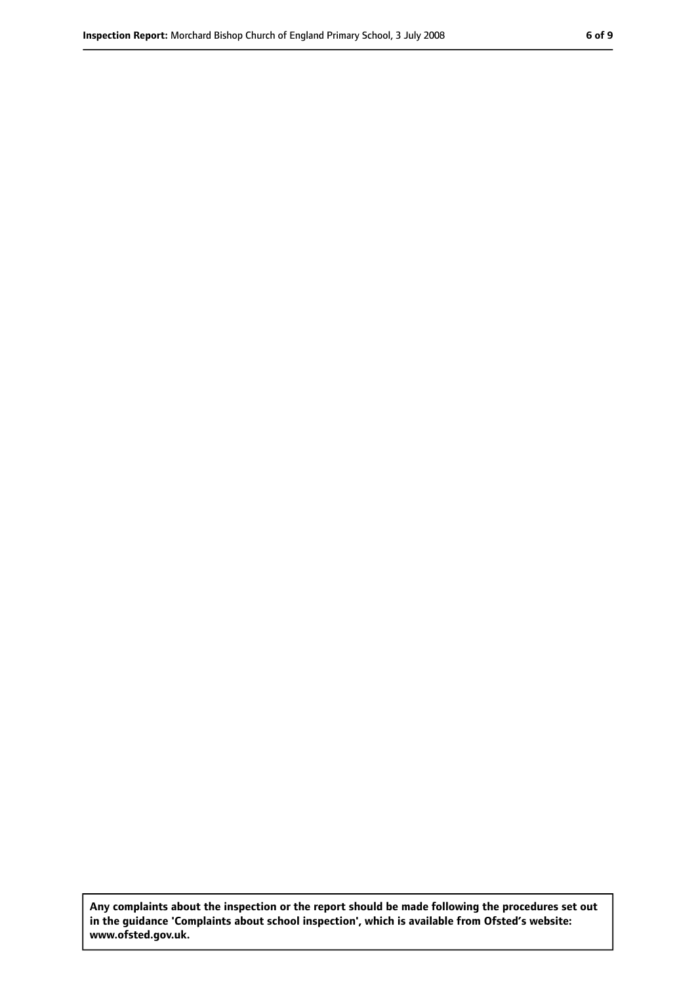**Any complaints about the inspection or the report should be made following the procedures set out in the guidance 'Complaints about school inspection', which is available from Ofsted's website: www.ofsted.gov.uk.**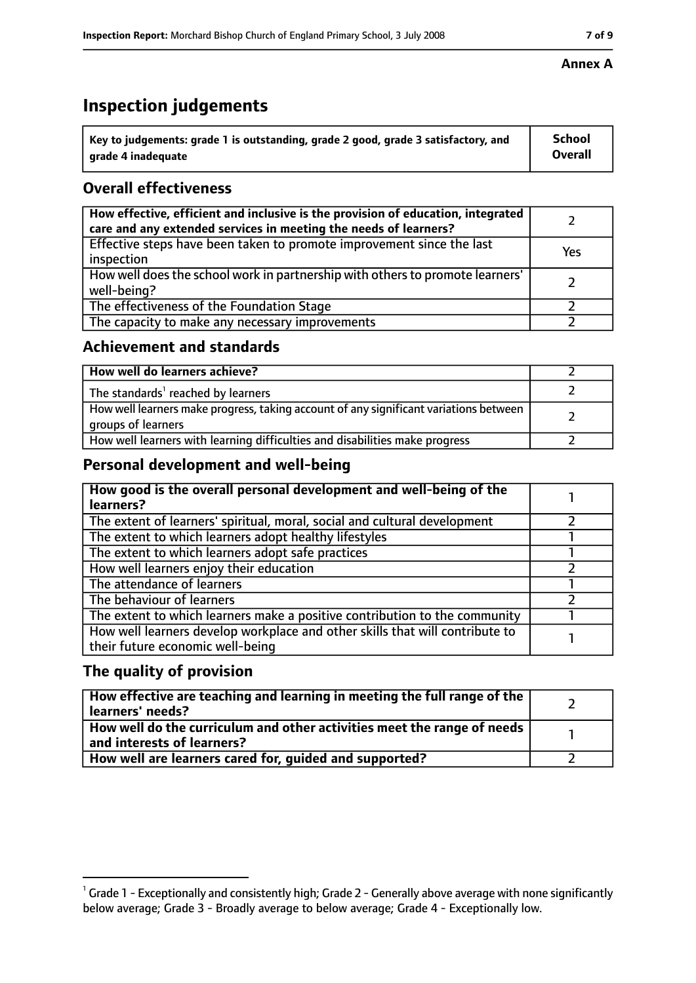# **Inspection judgements**

| $^{\backprime}$ Key to judgements: grade 1 is outstanding, grade 2 good, grade 3 satisfactory, and | <b>School</b>  |
|----------------------------------------------------------------------------------------------------|----------------|
| arade 4 inadeguate                                                                                 | <b>Overall</b> |

## **Overall effectiveness**

| How effective, efficient and inclusive is the provision of education, integrated<br>care and any extended services in meeting the needs of learners? |     |
|------------------------------------------------------------------------------------------------------------------------------------------------------|-----|
| Effective steps have been taken to promote improvement since the last<br>inspection                                                                  | Yes |
| How well does the school work in partnership with others to promote learners'<br>well-being?                                                         |     |
| The effectiveness of the Foundation Stage                                                                                                            |     |
| The capacity to make any necessary improvements                                                                                                      |     |

#### **Achievement and standards**

| How well do learners achieve?                                                                               |  |
|-------------------------------------------------------------------------------------------------------------|--|
| The standards <sup>1</sup> reached by learners                                                              |  |
| How well learners make progress, taking account of any significant variations between<br>groups of learners |  |
| How well learners with learning difficulties and disabilities make progress                                 |  |

## **Personal development and well-being**

| How good is the overall personal development and well-being of the<br>learners?                                  |  |
|------------------------------------------------------------------------------------------------------------------|--|
| The extent of learners' spiritual, moral, social and cultural development                                        |  |
| The extent to which learners adopt healthy lifestyles                                                            |  |
| The extent to which learners adopt safe practices                                                                |  |
| How well learners enjoy their education                                                                          |  |
| The attendance of learners                                                                                       |  |
| The behaviour of learners                                                                                        |  |
| The extent to which learners make a positive contribution to the community                                       |  |
| How well learners develop workplace and other skills that will contribute to<br>their future economic well-being |  |

## **The quality of provision**

| How effective are teaching and learning in meeting the full range of the<br>learners' needs?          |  |
|-------------------------------------------------------------------------------------------------------|--|
| How well do the curriculum and other activities meet the range of needs<br>and interests of learners? |  |
| How well are learners cared for, guided and supported?                                                |  |

#### **Annex A**

 $^1$  Grade 1 - Exceptionally and consistently high; Grade 2 - Generally above average with none significantly below average; Grade 3 - Broadly average to below average; Grade 4 - Exceptionally low.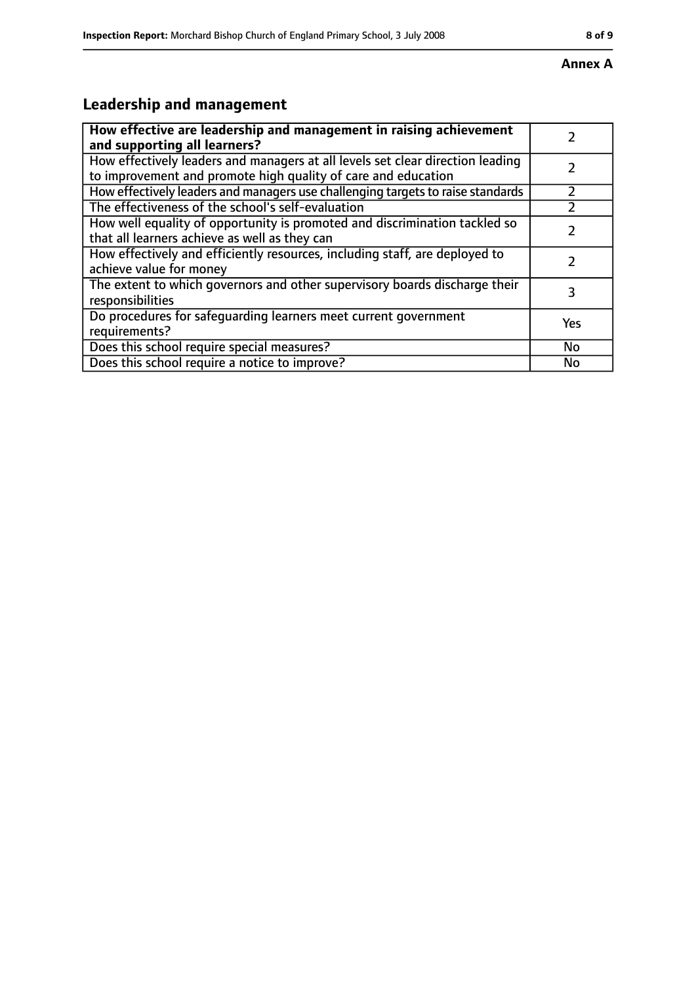# **Leadership and management**

| How effective are leadership and management in raising achievement                                                                              |           |
|-------------------------------------------------------------------------------------------------------------------------------------------------|-----------|
| and supporting all learners?                                                                                                                    |           |
| How effectively leaders and managers at all levels set clear direction leading<br>to improvement and promote high quality of care and education |           |
|                                                                                                                                                 |           |
| How effectively leaders and managers use challenging targets to raise standards                                                                 |           |
| The effectiveness of the school's self-evaluation                                                                                               |           |
| How well equality of opportunity is promoted and discrimination tackled so                                                                      |           |
| that all learners achieve as well as they can                                                                                                   |           |
| How effectively and efficiently resources, including staff, are deployed to                                                                     | 7         |
| achieve value for money                                                                                                                         |           |
| The extent to which governors and other supervisory boards discharge their                                                                      | 3         |
| responsibilities                                                                                                                                |           |
| Do procedures for safequarding learners meet current government                                                                                 | Yes       |
| requirements?                                                                                                                                   |           |
| Does this school require special measures?                                                                                                      | <b>No</b> |
| Does this school require a notice to improve?                                                                                                   | No        |